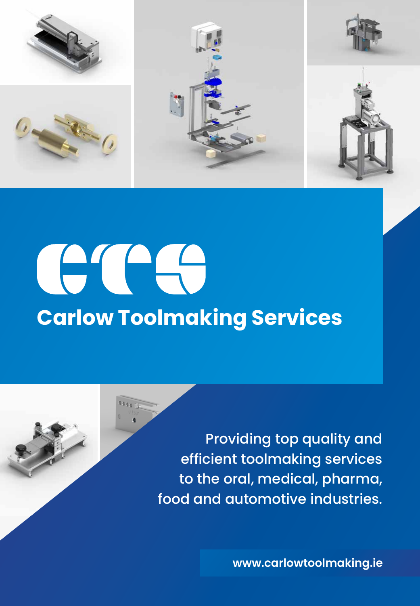

# CTCC **Carlow Toolmaking Services**

Providing top quality and efficient toolmaking services to the oral, medical, pharma, food and automotive industries.

**www.carlowtoolmaking.ie**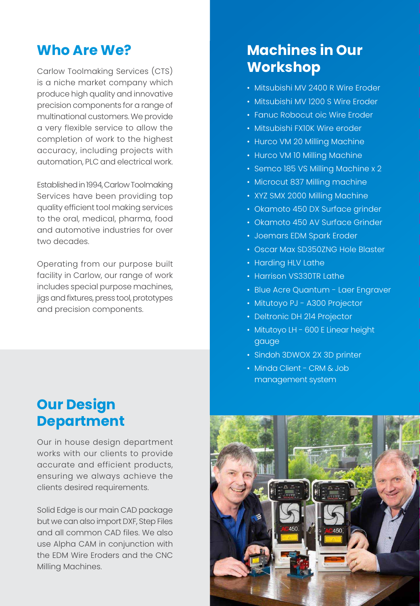## **Who Are We?**

Carlow Toolmaking Services (CTS) is a niche market company which produce high quality and innovative precision components for a range of multinational customers. We provide a very flexible service to allow the completion of work to the highest accuracy, including projects with automation, PLC and electrical work.

Established in 1994, Carlow Toolmaking Services have been providing top quality efficient tool making services to the oral, medical, pharma, food and automotive industries for over two decades.

Operating from our purpose built facility in Carlow, our range of work includes special purpose machines, jigs and fixtures, press tool, prototypes and precision components.

# **Our Design Department**

Our in house design department works with our clients to provide accurate and efficient products, ensuring we always achieve the clients desired requirements.

Solid Edge is our main CAD package but we can also import DXF, Step Files and all common CAD files. We also use Alpha CAM in conjunction with the EDM Wire Eroders and the CNC Milling Machines.

# **Machines in Our Workshop**

- Mitsubishi MV 2400 R Wire Eroder
- Mitsubishi MV 1200 S Wire Eroder
- Fanuc Robocut oic Wire Eroder
- Mitsubishi FX10K Wire eroder
- Hurco VM 20 Milling Machine
- Hurco VM 10 Milling Machine
- Semco 185 VS Milling Machine x 2
- Microcut 837 Milling machine
- XYZ SMX 2000 Milling Machine
- Okamoto 450 DX Surface grinder
- Okamoto 450 AV Surface Grinder
- Joemars EDM Spark Eroder
- Oscar Max SD350ZNG Hole Blaster
- Harding HLV Lathe
- Harrison VS330TR Lathe
- Blue Acre Quantum Laer Engraver
- Mitutoyo PJ A300 Projector
- Deltronic DH 214 Projector
- Mitutoyo LH 600 E Linear height gauge
- Sindoh 3DWOX 2X 3D printer
- Minda Client CRM & Job management system

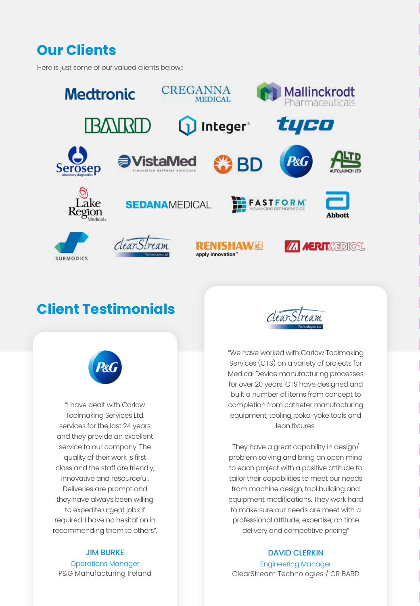# **Our Clients**

Here is just some of our valued clients below;:



# **Client Testimonials**



"We have worked with Carlow Toolmaking Services (CTS) on a variety of projects for Medical Device manufacturing processes for over 20 years. CTS have designed and built a number of items from concept to completion from catheter manufacturing equipment, tooling, poka-yoke tools and lean fixtures.

They have a great capability in design/ problem solving and bring an open mind to each project with a positive attitude to tailor their capabilities to meet our needs from machine design, tool building and equipment modifications. They work hard to make sure our needs are meet with a professional attitude, expertise, on time delivery and competitive pricing"

#### DAVID CLERKIN

Engineering Manager ClearStream Technologies / CR BARD



"I have dealt with Carlow Toolmaking Services Ltd. services for the last 24 years and they provide an excellent service to our company. The quality of their work is first class and the staff are friendly, innovative and resourceful. Deliveries are prompt and they have always been willing to expedite urgent jobs if required. I have no hesitation in recommending them to others".

#### JIM BURKE

Operations Manager P&G Manufacturing Ireland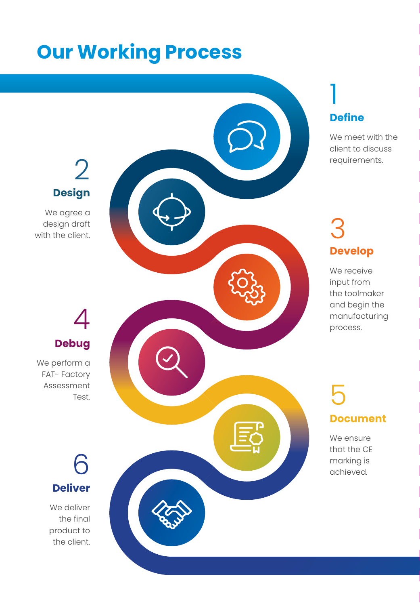# **Our Working Process**

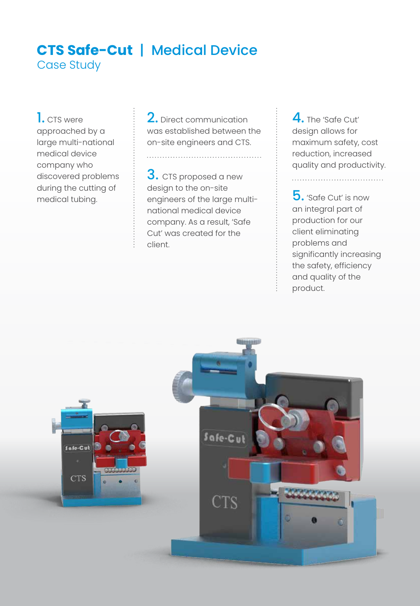### **CTS Safe-Cut** | Medical Device Case Study

1. CTS were approached by a large multi-national medical device company who discovered problems during the cutting of medical tubing.

2. Direct communication was established between the on-site engineers and CTS.

. . . . . . . . . . . . . . . . . . . .

3. CTS proposed a new design to the on-site engineers of the large multinational medical device company. As a result, 'Safe Cut' was created for the client.

4. The 'Safe Cut' design allows for maximum safety, cost reduction, increased quality and productivity.

. . . . . . . . . . . . . . . . . . .

5. 'Safe Cut' is now an integral part of production for our client eliminating problems and significantly increasing the safety, efficiency and quality of the product.